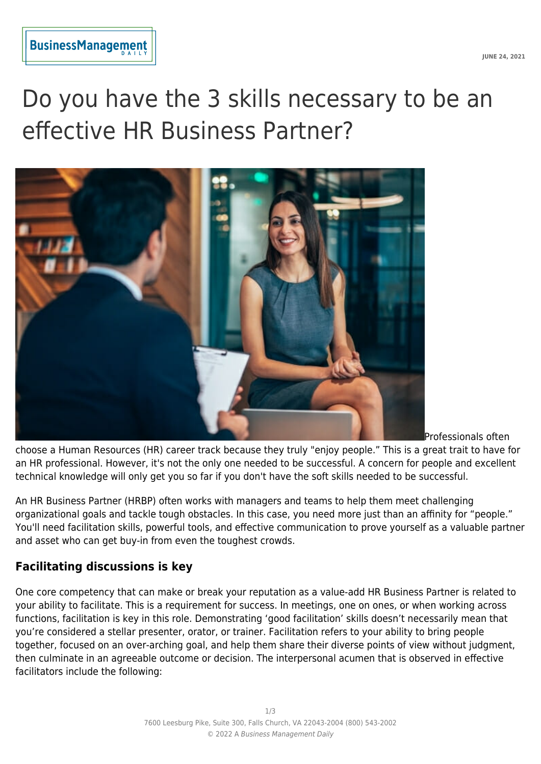# Do you have the 3 skills necessary to be an effective HR Business Partner?



Professionals often

choose a Human Resources (HR) career track because they truly "enjoy people." This is a great trait to have for an HR professional. However, it's not the only one needed to be successful. A concern for people and excellent technical knowledge will only get you so far if you don't have the soft skills needed to be successful.

An HR Business Partner (HRBP) often works with managers and teams to help them meet challenging organizational goals and tackle tough obstacles. In this case, you need more just than an affinity for "people." You'll need facilitation skills, powerful tools, and effective communication to prove yourself as a valuable partner and asset who can get buy-in from even the toughest crowds.

## **Facilitating discussions is key**

One core competency that can make or break your reputation as a value-add HR Business Partner is related to your ability to facilitate. This is a requirement for success. In meetings, one on ones, or when working across functions, facilitation is key in this role. Demonstrating 'good facilitation' skills doesn't necessarily mean that you're considered a stellar presenter, orator, or trainer. Facilitation refers to your ability to bring people together, focused on an over-arching goal, and help them share their diverse points of view without judgment, then culminate in an agreeable outcome or decision. The interpersonal acumen that is observed in effective facilitators include the following: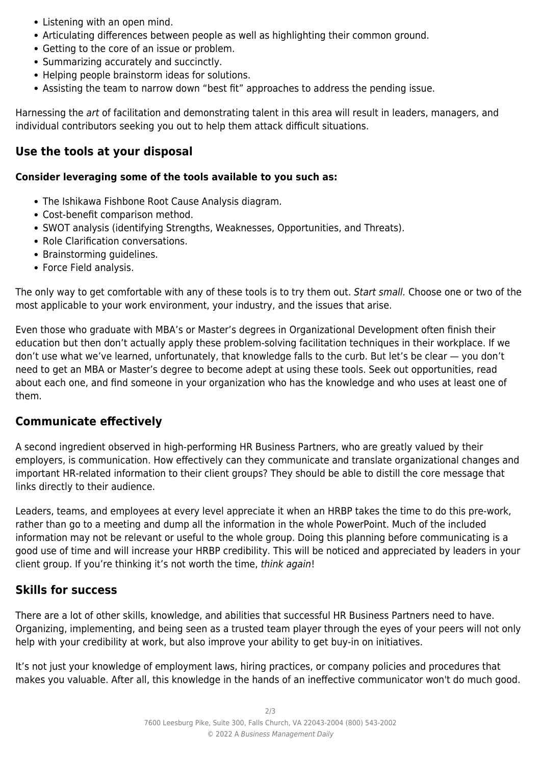- Listening with an open mind.
- Articulating differences between people as well as highlighting their common ground.
- Getting to the core of an issue or problem.
- Summarizing accurately and succinctly.
- Helping people brainstorm ideas for solutions.
- Assisting the team to narrow down "best fit" approaches to address the pending issue.

Harnessing the art of facilitation and demonstrating talent in this area will result in leaders, managers, and individual contributors seeking you out to help them attack difficult situations.

## **Use the tools at your disposal**

#### **Consider leveraging some of the tools available to you such as:**

- The Ishikawa Fishbone Root Cause Analysis diagram.
- Cost-benefit comparison method.
- SWOT analysis (identifying Strengths, Weaknesses, Opportunities, and Threats).
- Role Clarification conversations.
- Brainstorming quidelines.
- Force Field analysis.

The only way to get comfortable with any of these tools is to try them out. Start small. Choose one or two of the most applicable to your work environment, your industry, and the issues that arise.

Even those who graduate with MBA's or Master's degrees in Organizational Development often finish their education but then don't actually apply these problem-solving facilitation techniques in their workplace. If we don't use what we've learned, unfortunately, that knowledge falls to the curb. But let's be clear — you don't need to get an MBA or Master's degree to become adept at using these tools. Seek out opportunities, read about each one, and find someone in your organization who has the knowledge and who uses at least one of them.

## **Communicate effectively**

A second ingredient observed in high-performing HR Business Partners, who are greatly valued by their employers, is communication. How effectively can they communicate and translate organizational changes and important HR-related information to their client groups? They should be able to distill the core message that links directly to their audience.

Leaders, teams, and employees at every level appreciate it when an HRBP takes the time to do this pre-work, rather than go to a meeting and dump all the information in the whole PowerPoint. Much of the included information may not be relevant or useful to the whole group. Doing this planning before communicating is a good use of time and will increase your HRBP credibility. This will be noticed and appreciated by leaders in your client group. If you're thinking it's not worth the time, think again!

## **Skills for success**

There are a lot of other skills, knowledge, and abilities that successful HR Business Partners need to have. Organizing, implementing, and being seen as a trusted team player through the eyes of your peers will not only help with your credibility at work, but also improve your ability to get buy-in on initiatives.

It's not just your knowledge of employment laws, hiring practices, or company policies and procedures that makes you valuable. After all, this knowledge in the hands of an ineffective communicator won't do much good.